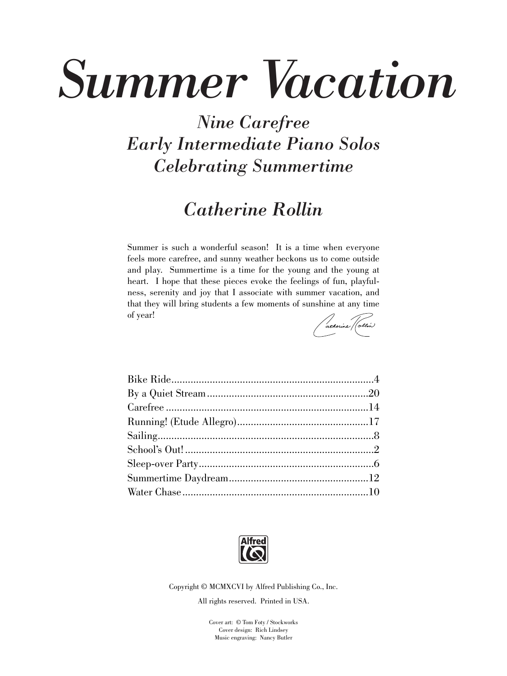## *Summer Vacation*

## *Nine Carefree Early Intermediate Piano Solos Celebrating Summertime*

## *Catherine Rollin*

Summer is such a wonderful season! It is a time when everyone feels more carefree, and sunny weather beckons us to come outside and play. Summertime is a time for the young and the young at heart. I hope that these pieces evoke the feelings of fun, playfulness, serenity and joy that I associate with summer vacation, and that they will bring students a few moments of sunshine at any time of year!

atherine (clin)



Copyright © MCMXCVI by Alfred Publishing Co., Inc.

All rights reserved. Printed in USA.

Cover art: © Tom Foty / Stockworks Cover design: Rich Lindsey Music engraving: Nancy Butler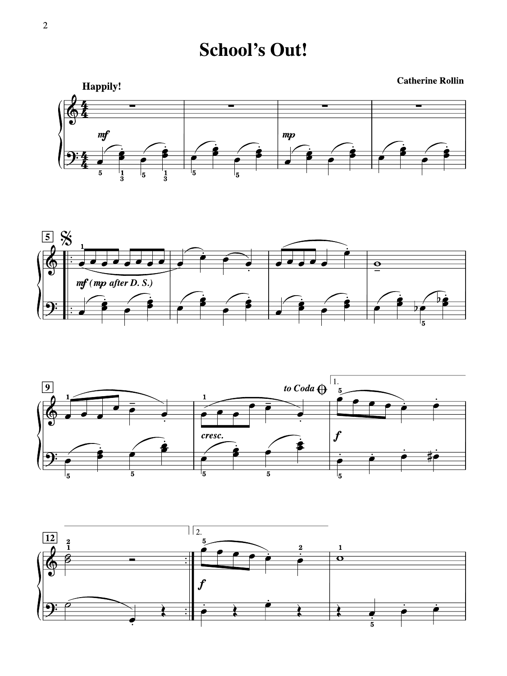**School's Out!** 

**Catherine Rollin Happily!** 





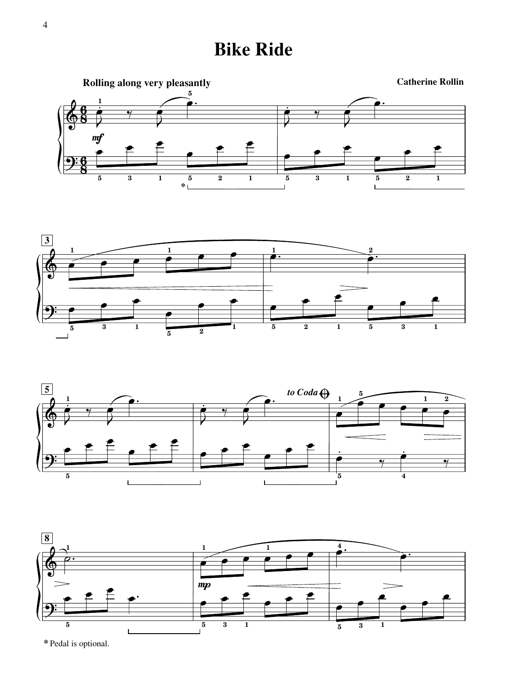**Bike Ride**









**\*** Pedal is optional.